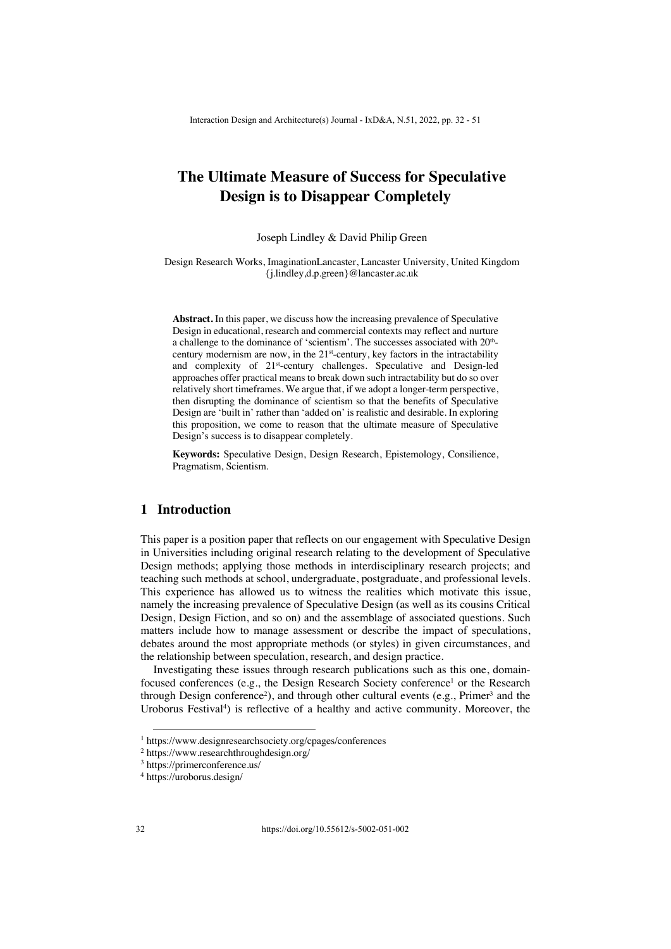# **The Ultimate Measure of Success for Speculative Design is to Disappear Completely**

Joseph Lindley & David Philip Green

Design Research Works, ImaginationLancaster, Lancaster University, United Kingdom {j.lindley,d.p.green}@lancaster.ac.uk

**Abstract.** In this paper, we discuss how the increasing prevalence of Speculative Design in educational, research and commercial contexts may reflect and nurture a challenge to the dominance of 'scientism'. The successes associated with  $20<sup>th</sup>$ century modernism are now, in the  $21<sup>st</sup>$ -century, key factors in the intractability and complexity of 21<sup>st</sup>-century challenges. Speculative and Design-led approaches offer practical means to break down such intractability but do so over relatively short timeframes. We argue that, if we adopt a longer-term perspective, then disrupting the dominance of scientism so that the benefits of Speculative Design are 'built in' rather than 'added on' is realistic and desirable. In exploring this proposition, we come to reason that the ultimate measure of Speculative Design's success is to disappear completely.

**Keywords:** Speculative Design, Design Research, Epistemology, Consilience, Pragmatism, Scientism.

### **1 Introduction**

This paper is a position paper that reflects on our engagement with Speculative Design in Universities including original research relating to the development of Speculative Design methods; applying those methods in interdisciplinary research projects; and teaching such methods at school, undergraduate, postgraduate, and professional levels. This experience has allowed us to witness the realities which motivate this issue, namely the increasing prevalence of Speculative Design (as well as its cousins Critical Design, Design Fiction, and so on) and the assemblage of associated questions. Such matters include how to manage assessment or describe the impact of speculations, debates around the most appropriate methods (or styles) in given circumstances, and the relationship between speculation, research, and design practice.

Investigating these issues through research publications such as this one, domainfocused conferences (e.g., the Design Research Society conference<sup>1</sup> or the Research through Design conference<sup>2</sup>), and through other cultural events (e.g., Primer<sup>3</sup> and the Uroborus Festival<sup>4</sup>) is reflective of a healthy and active community. Moreover, the

<sup>1</sup> https://www.designresearchsociety.org/cpages/conferences

<sup>2</sup> https://www.researchthroughdesign.org/

<sup>3</sup> https://primerconference.us/

<sup>4</sup> https://uroborus.design/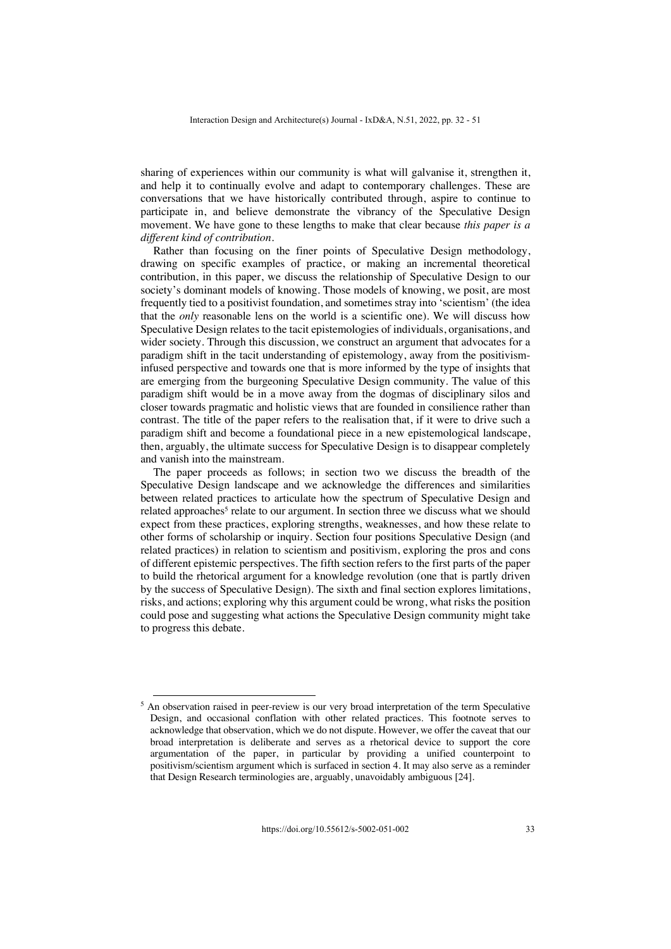sharing of experiences within our community is what will galvanise it, strengthen it, and help it to continually evolve and adapt to contemporary challenges. These are conversations that we have historically contributed through, aspire to continue to participate in, and believe demonstrate the vibrancy of the Speculative Design movement. We have gone to these lengths to make that clear because *this paper is a different kind of contribution.* 

Rather than focusing on the finer points of Speculative Design methodology, drawing on specific examples of practice, or making an incremental theoretical contribution, in this paper, we discuss the relationship of Speculative Design to our society's dominant models of knowing. Those models of knowing, we posit, are most frequently tied to a positivist foundation, and sometimes stray into 'scientism' (the idea that the *only* reasonable lens on the world is a scientific one). We will discuss how Speculative Design relates to the tacit epistemologies of individuals, organisations, and wider society. Through this discussion, we construct an argument that advocates for a paradigm shift in the tacit understanding of epistemology, away from the positivisminfused perspective and towards one that is more informed by the type of insights that are emerging from the burgeoning Speculative Design community. The value of this paradigm shift would be in a move away from the dogmas of disciplinary silos and closer towards pragmatic and holistic views that are founded in consilience rather than contrast. The title of the paper refers to the realisation that, if it were to drive such a paradigm shift and become a foundational piece in a new epistemological landscape, then, arguably, the ultimate success for Speculative Design is to disappear completely and vanish into the mainstream.

The paper proceeds as follows; in section two we discuss the breadth of the Speculative Design landscape and we acknowledge the differences and similarities between related practices to articulate how the spectrum of Speculative Design and related approaches<sup>5</sup> relate to our argument. In section three we discuss what we should expect from these practices, exploring strengths, weaknesses, and how these relate to other forms of scholarship or inquiry. Section four positions Speculative Design (and related practices) in relation to scientism and positivism, exploring the pros and cons of different epistemic perspectives. The fifth section refers to the first parts of the paper to build the rhetorical argument for a knowledge revolution (one that is partly driven by the success of Speculative Design). The sixth and final section explores limitations, risks, and actions; exploring why this argument could be wrong, what risks the position could pose and suggesting what actions the Speculative Design community might take to progress this debate.

<sup>&</sup>lt;sup>5</sup> An observation raised in peer-review is our very broad interpretation of the term Speculative Design, and occasional conflation with other related practices. This footnote serves to acknowledge that observation, which we do not dispute. However, we offer the caveat that our broad interpretation is deliberate and serves as a rhetorical device to support the core argumentation of the paper, in particular by providing a unified counterpoint to positivism/scientism argument which is surfaced in section 4. It may also serve as a reminder that Design Research terminologies are, arguably, unavoidably ambiguous [24].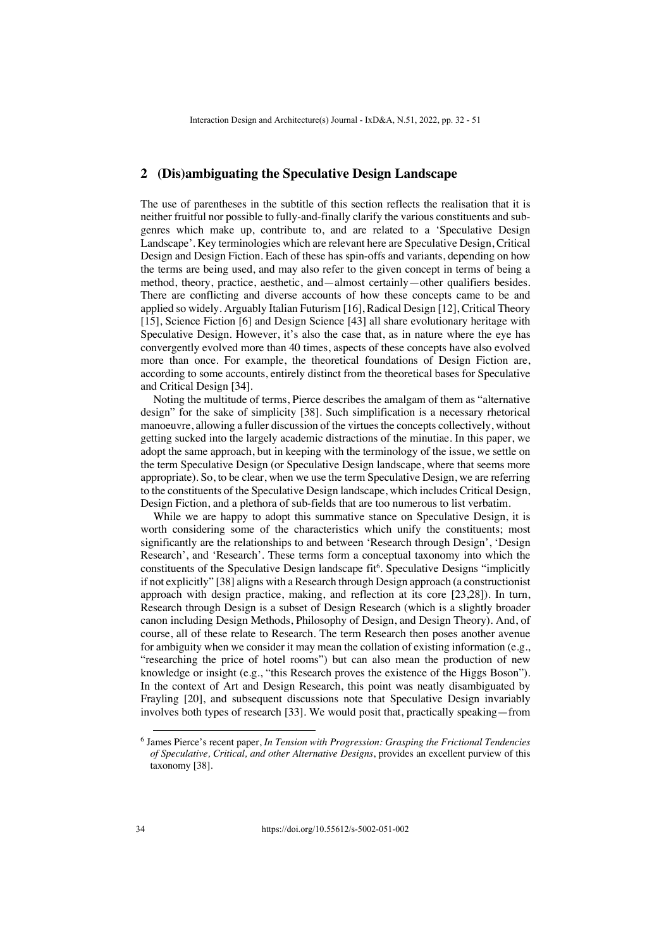#### **2 (Dis)ambiguating the Speculative Design Landscape**

The use of parentheses in the subtitle of this section reflects the realisation that it is neither fruitful nor possible to fully-and-finally clarify the various constituents and subgenres which make up, contribute to, and are related to a 'Speculative Design Landscape'. Key terminologies which are relevant here are Speculative Design, Critical Design and Design Fiction. Each of these has spin-offs and variants, depending on how the terms are being used, and may also refer to the given concept in terms of being a method, theory, practice, aesthetic, and—almost certainly—other qualifiers besides. There are conflicting and diverse accounts of how these concepts came to be and applied so widely. Arguably Italian Futurism [16], Radical Design [12], Critical Theory [15], Science Fiction [6] and Design Science [43] all share evolutionary heritage with Speculative Design. However, it's also the case that, as in nature where the eye has convergently evolved more than 40 times, aspects of these concepts have also evolved more than once. For example, the theoretical foundations of Design Fiction are, according to some accounts, entirely distinct from the theoretical bases for Speculative and Critical Design [34].

Noting the multitude of terms, Pierce describes the amalgam of them as "alternative design" for the sake of simplicity [38]. Such simplification is a necessary rhetorical manoeuvre, allowing a fuller discussion of the virtues the concepts collectively, without getting sucked into the largely academic distractions of the minutiae. In this paper, we adopt the same approach, but in keeping with the terminology of the issue, we settle on the term Speculative Design (or Speculative Design landscape, where that seems more appropriate). So, to be clear, when we use the term Speculative Design, we are referring to the constituents of the Speculative Design landscape, which includes Critical Design, Design Fiction, and a plethora of sub-fields that are too numerous to list verbatim.

While we are happy to adopt this summative stance on Speculative Design, it is worth considering some of the characteristics which unify the constituents; most significantly are the relationships to and between 'Research through Design', 'Design Research', and 'Research'. These terms form a conceptual taxonomy into which the constituents of the Speculative Design landscape fit<sup>6</sup>. Speculative Designs "implicitly if not explicitly" [38] aligns with a Research through Design approach (a constructionist approach with design practice, making, and reflection at its core [23,28]). In turn, Research through Design is a subset of Design Research (which is a slightly broader canon including Design Methods, Philosophy of Design, and Design Theory). And, of course, all of these relate to Research. The term Research then poses another avenue for ambiguity when we consider it may mean the collation of existing information (e.g., "researching the price of hotel rooms") but can also mean the production of new knowledge or insight (e.g., "this Research proves the existence of the Higgs Boson"). In the context of Art and Design Research, this point was neatly disambiguated by Frayling [20], and subsequent discussions note that Speculative Design invariably involves both types of research [33]. We would posit that, practically speaking—from

<sup>6</sup> James Pierce's recent paper, *In Tension with Progression: Grasping the Frictional Tendencies of Speculative, Critical, and other Alternative Designs*, provides an excellent purview of this taxonomy [38].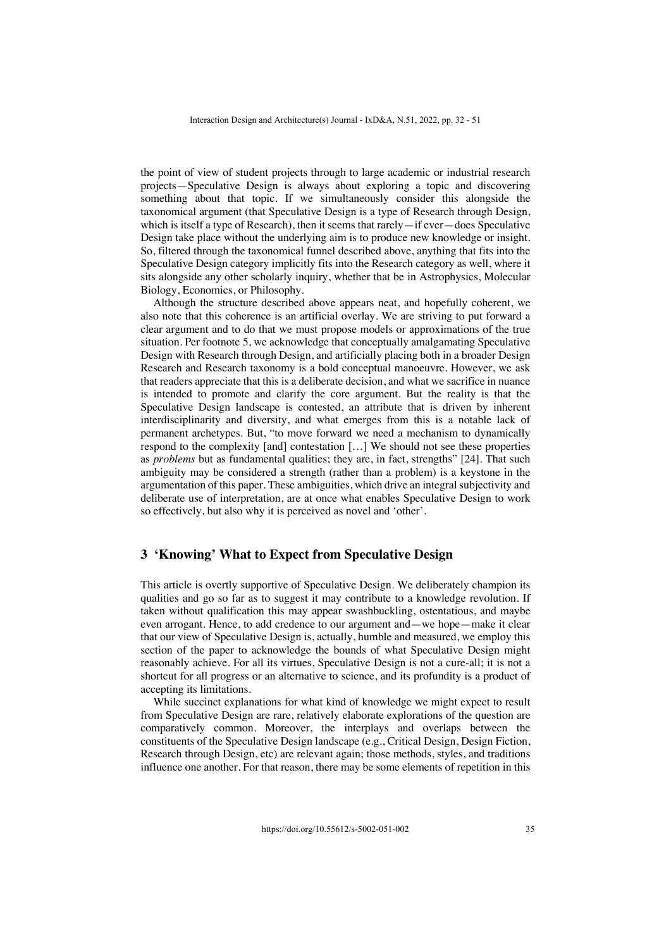the point of view of student projects through to large academic or industrial research projects—Speculative Design is always about exploring a topic and discovering something about that topic. If we simultaneously consider this alongside the taxonomical argument (that Speculative Design is a type of Research through Design, which is itself a type of Research), then it seems that rarely—if ever—does Speculative Design take place without the underlying aim is to produce new knowledge or insight. So, filtered through the taxonomical funnel described above, anything that fits into the Speculative Design category implicitly fits into the Research category as well, where it sits alongside any other scholarly inquiry, whether that be in Astrophysics, Molecular Biology, Economics, or Philosophy.

Although the structure described above appears neat, and hopefully coherent, we also note that this coherence is an artificial overlay. We are striving to put forward a clear argument and to do that we must propose models or approximations of the true situation. Per footnote 5, we acknowledge that conceptually amalgamating Speculative Design with Research through Design, and artificially placing both in a broader Design Research and Research taxonomy is a bold conceptual manoeuvre. However, we ask that readers appreciate that this is a deliberate decision, and what we sacrifice in nuance is intended to promote and clarify the core argument. But the reality is that the Speculative Design landscape is contested, an attribute that is driven by inherent interdisciplinarity and diversity, and what emerges from this is a notable lack of permanent archetypes. But, "to move forward we need a mechanism to dynamically respond to the complexity [and] contestation […] We should not see these properties as *problems* but as fundamental qualities; they are, in fact, strengths" [24]. That such ambiguity may be considered a strength (rather than a problem) is a keystone in the argumentation of this paper. These ambiguities, which drive an integral subjectivity and deliberate use of interpretation, are at once what enables Speculative Design to work so effectively, but also why it is perceived as novel and 'other'.

## **3 'Knowing' What to Expect from Speculative Design**

This article is overtly supportive of Speculative Design. We deliberately champion its qualities and go so far as to suggest it may contribute to a knowledge revolution. If taken without qualification this may appear swashbuckling, ostentatious, and maybe even arrogant. Hence, to add credence to our argument and—we hope—make it clear that our view of Speculative Design is, actually, humble and measured, we employ this section of the paper to acknowledge the bounds of what Speculative Design might reasonably achieve. For all its virtues, Speculative Design is not a cure-all; it is not a shortcut for all progress or an alternative to science, and its profundity is a product of accepting its limitations.

While succinct explanations for what kind of knowledge we might expect to result from Speculative Design are rare, relatively elaborate explorations of the question are comparatively common. Moreover, the interplays and overlaps between the constituents of the Speculative Design landscape (e.g., Critical Design, Design Fiction, Research through Design, etc) are relevant again; those methods, styles, and traditions influence one another. For that reason, there may be some elements of repetition in this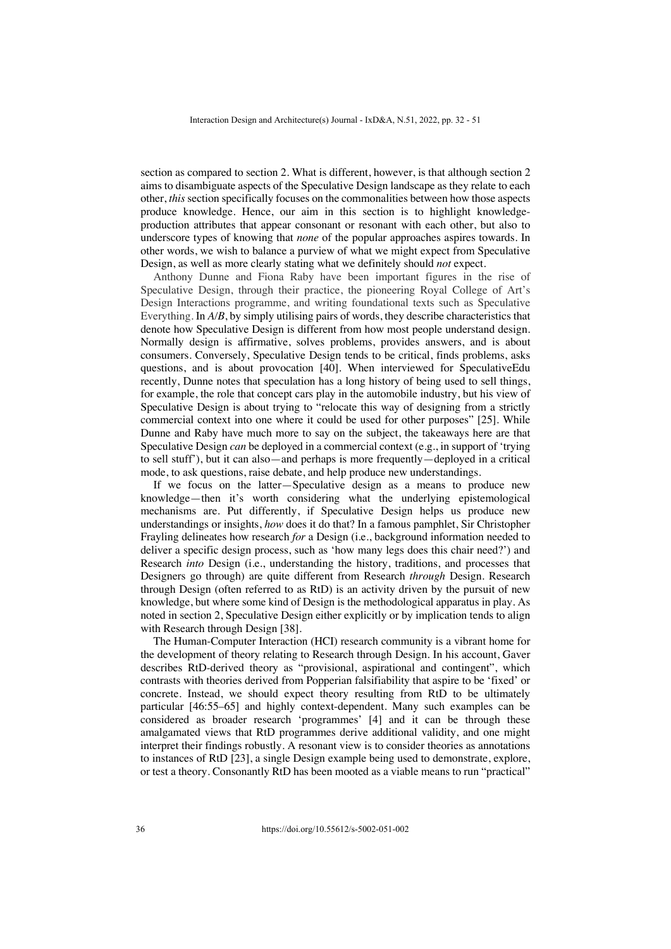section as compared to section 2. What is different, however, is that although section 2 aims to disambiguate aspects of the Speculative Design landscape as they relate to each other, *this* section specifically focuses on the commonalities between how those aspects produce knowledge. Hence, our aim in this section is to highlight knowledgeproduction attributes that appear consonant or resonant with each other, but also to underscore types of knowing that *none* of the popular approaches aspires towards. In other words, we wish to balance a purview of what we might expect from Speculative Design, as well as more clearly stating what we definitely should *not* expect.

Anthony Dunne and Fiona Raby have been important figures in the rise of Speculative Design, through their practice, the pioneering Royal College of Art's Design Interactions programme, and writing foundational texts such as Speculative Everything. In *A/B*, by simply utilising pairs of words, they describe characteristics that denote how Speculative Design is different from how most people understand design. Normally design is affirmative, solves problems, provides answers, and is about consumers. Conversely, Speculative Design tends to be critical, finds problems, asks questions, and is about provocation [40]. When interviewed for SpeculativeEdu recently, Dunne notes that speculation has a long history of being used to sell things, for example, the role that concept cars play in the automobile industry, but his view of Speculative Design is about trying to "relocate this way of designing from a strictly commercial context into one where it could be used for other purposes" [25]. While Dunne and Raby have much more to say on the subject, the takeaways here are that Speculative Design *can* be deployed in a commercial context (e.g., in support of 'trying to sell stuff'), but it can also—and perhaps is more frequently—deployed in a critical mode, to ask questions, raise debate, and help produce new understandings.

If we focus on the latter—Speculative design as a means to produce new knowledge—then it's worth considering what the underlying epistemological mechanisms are. Put differently, if Speculative Design helps us produce new understandings or insights, *how* does it do that? In a famous pamphlet, Sir Christopher Frayling delineates how research *for* a Design (i.e., background information needed to deliver a specific design process, such as 'how many legs does this chair need?') and Research *into* Design (i.e., understanding the history, traditions, and processes that Designers go through) are quite different from Research *through* Design. Research through Design (often referred to as RtD) is an activity driven by the pursuit of new knowledge, but where some kind of Design is the methodological apparatus in play. As noted in section 2, Speculative Design either explicitly or by implication tends to align with Research through Design [38].

The Human-Computer Interaction (HCI) research community is a vibrant home for the development of theory relating to Research through Design. In his account, Gaver describes RtD-derived theory as "provisional, aspirational and contingent", which contrasts with theories derived from Popperian falsifiability that aspire to be 'fixed' or concrete. Instead, we should expect theory resulting from RtD to be ultimately particular [46:55–65] and highly context-dependent. Many such examples can be considered as broader research 'programmes' [4] and it can be through these amalgamated views that RtD programmes derive additional validity, and one might interpret their findings robustly. A resonant view is to consider theories as annotations to instances of RtD [23], a single Design example being used to demonstrate, explore, or test a theory. Consonantly RtD has been mooted as a viable means to run "practical"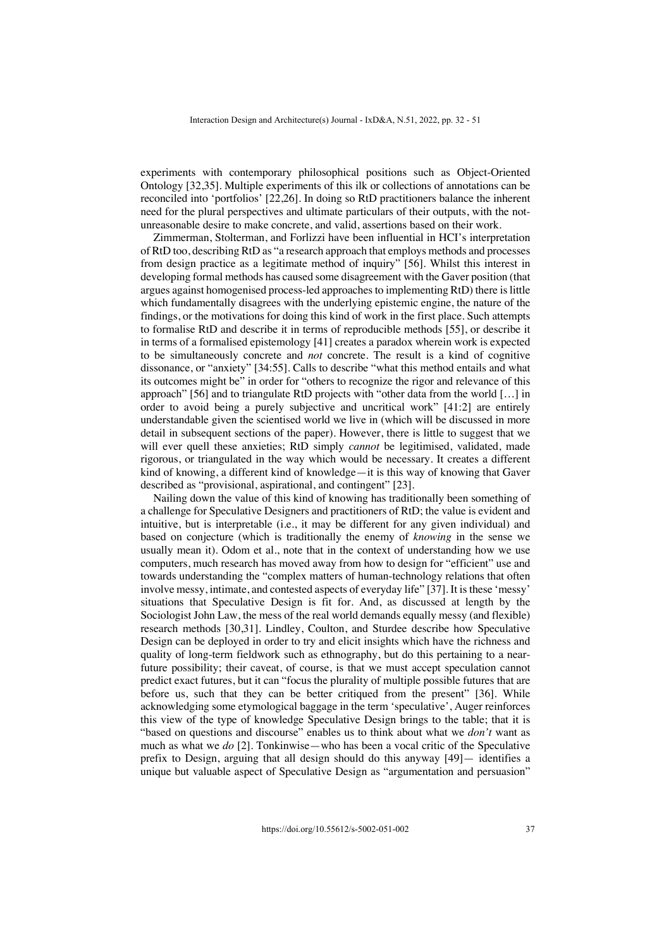experiments with contemporary philosophical positions such as Object-Oriented Ontology [32,35]. Multiple experiments of this ilk or collections of annotations can be reconciled into 'portfolios' [22,26]. In doing so RtD practitioners balance the inherent need for the plural perspectives and ultimate particulars of their outputs, with the notunreasonable desire to make concrete, and valid, assertions based on their work.

Zimmerman, Stolterman, and Forlizzi have been influential in HCI's interpretation of RtD too, describing RtD as "a research approach that employs methods and processes from design practice as a legitimate method of inquiry" [56]. Whilst this interest in developing formal methods has caused some disagreement with the Gaver position (that argues against homogenised process-led approaches to implementing RtD) there is little which fundamentally disagrees with the underlying epistemic engine, the nature of the findings, or the motivations for doing this kind of work in the first place. Such attempts to formalise RtD and describe it in terms of reproducible methods [55], or describe it in terms of a formalised epistemology [41] creates a paradox wherein work is expected to be simultaneously concrete and *not* concrete. The result is a kind of cognitive dissonance, or "anxiety" [34:55]. Calls to describe "what this method entails and what its outcomes might be" in order for "others to recognize the rigor and relevance of this approach" [56] and to triangulate RtD projects with "other data from the world […] in order to avoid being a purely subjective and uncritical work" [41:2] are entirely understandable given the scientised world we live in (which will be discussed in more detail in subsequent sections of the paper). However, there is little to suggest that we will ever quell these anxieties; RtD simply *cannot* be legitimised, validated, made rigorous, or triangulated in the way which would be necessary. It creates a different kind of knowing, a different kind of knowledge—it is this way of knowing that Gaver described as "provisional, aspirational, and contingent" [23].

Nailing down the value of this kind of knowing has traditionally been something of a challenge for Speculative Designers and practitioners of RtD; the value is evident and intuitive, but is interpretable (i.e., it may be different for any given individual) and based on conjecture (which is traditionally the enemy of *knowing* in the sense we usually mean it). Odom et al., note that in the context of understanding how we use computers, much research has moved away from how to design for "efficient" use and towards understanding the "complex matters of human-technology relations that often involve messy, intimate, and contested aspects of everyday life" [37]. It is these 'messy' situations that Speculative Design is fit for. And, as discussed at length by the Sociologist John Law, the mess of the real world demands equally messy (and flexible) research methods [30,31]. Lindley, Coulton, and Sturdee describe how Speculative Design can be deployed in order to try and elicit insights which have the richness and quality of long-term fieldwork such as ethnography, but do this pertaining to a nearfuture possibility; their caveat, of course, is that we must accept speculation cannot predict exact futures, but it can "focus the plurality of multiple possible futures that are before us, such that they can be better critiqued from the present" [36]. While acknowledging some etymological baggage in the term 'speculative', Auger reinforces this view of the type of knowledge Speculative Design brings to the table; that it is "based on questions and discourse" enables us to think about what we *don't* want as much as what we *do* [2]. Tonkinwise—who has been a vocal critic of the Speculative prefix to Design, arguing that all design should do this anyway [49]— identifies a unique but valuable aspect of Speculative Design as "argumentation and persuasion"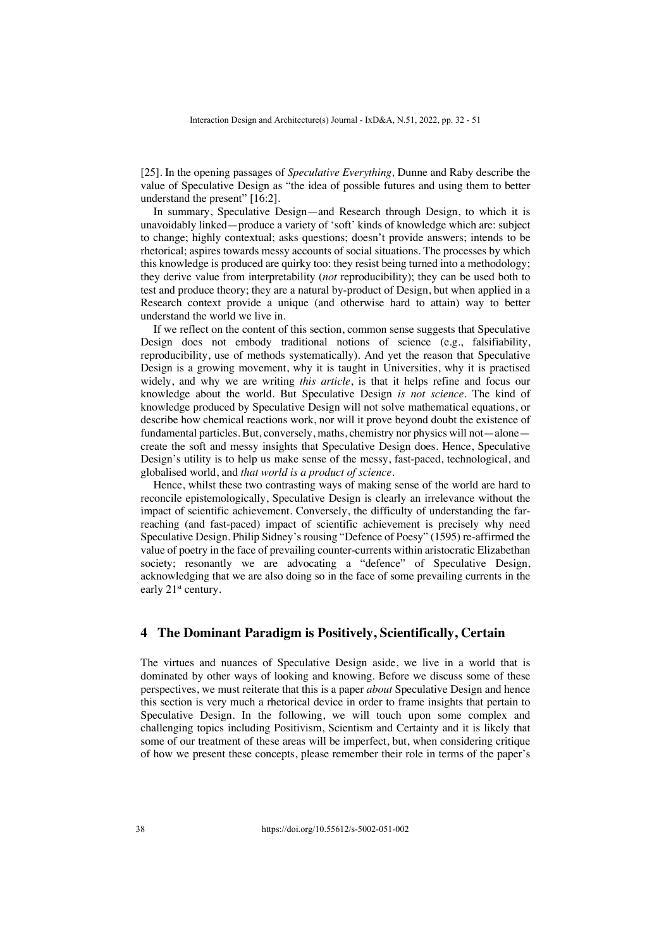[25]. In the opening passages of *Speculative Everything,* Dunne and Raby describe the value of Speculative Design as "the idea of possible futures and using them to better understand the present" [16:2].

In summary, Speculative Design—and Research through Design, to which it is unavoidably linked—produce a variety of 'soft' kinds of knowledge which are: subject to change; highly contextual; asks questions; doesn't provide answers; intends to be rhetorical; aspires towards messy accounts of social situations. The processes by which this knowledge is produced are quirky too: they resist being turned into a methodology; they derive value from interpretability (*not* reproducibility); they can be used both to test and produce theory; they are a natural by-product of Design, but when applied in a Research context provide a unique (and otherwise hard to attain) way to better understand the world we live in.

If we reflect on the content of this section, common sense suggests that Speculative Design does not embody traditional notions of science (e.g., falsifiability, reproducibility, use of methods systematically). And yet the reason that Speculative Design is a growing movement, why it is taught in Universities, why it is practised widely, and why we are writing *this article*, is that it helps refine and focus our knowledge about the world. But Speculative Design *is not science*. The kind of knowledge produced by Speculative Design will not solve mathematical equations, or describe how chemical reactions work, nor will it prove beyond doubt the existence of fundamental particles. But, conversely, maths, chemistry nor physics will not—alone create the soft and messy insights that Speculative Design does. Hence, Speculative Design's utility is to help us make sense of the messy, fast-paced, technological, and globalised world, and *that world is a product of science*.

Hence, whilst these two contrasting ways of making sense of the world are hard to reconcile epistemologically, Speculative Design is clearly an irrelevance without the impact of scientific achievement. Conversely, the difficulty of understanding the farreaching (and fast-paced) impact of scientific achievement is precisely why need Speculative Design. Philip Sidney's rousing "Defence of Poesy" (1595) re-affirmed the value of poetry in the face of prevailing counter-currents within aristocratic Elizabethan society; resonantly we are advocating a "defence" of Speculative Design, acknowledging that we are also doing so in the face of some prevailing currents in the early 21<sup>st</sup> century.

## **4 The Dominant Paradigm is Positively, Scientifically, Certain**

The virtues and nuances of Speculative Design aside, we live in a world that is dominated by other ways of looking and knowing. Before we discuss some of these perspectives, we must reiterate that this is a paper *about* Speculative Design and hence this section is very much a rhetorical device in order to frame insights that pertain to Speculative Design. In the following, we will touch upon some complex and challenging topics including Positivism, Scientism and Certainty and it is likely that some of our treatment of these areas will be imperfect, but, when considering critique of how we present these concepts, please remember their role in terms of the paper's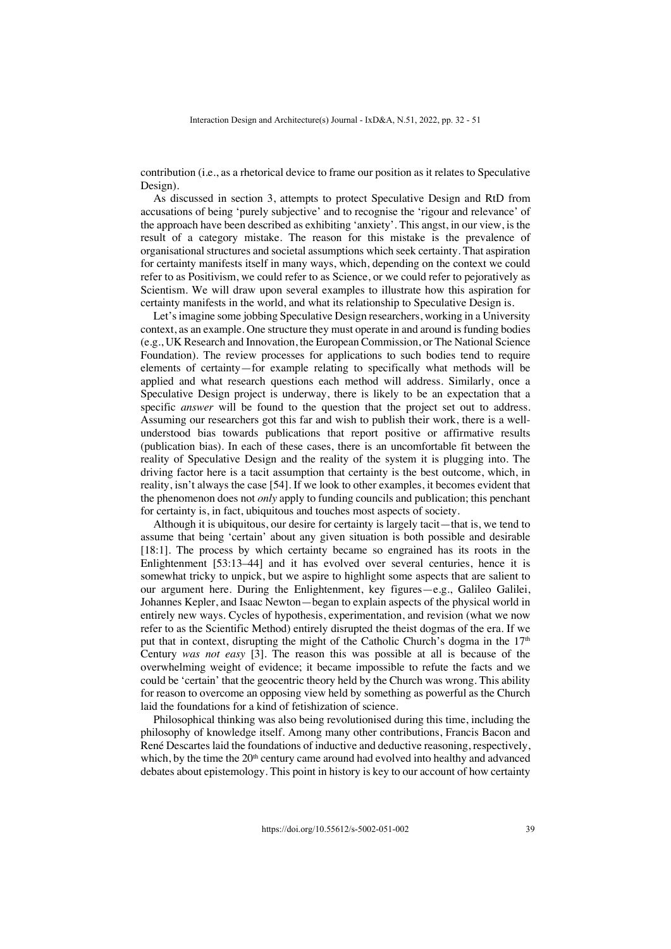contribution (i.e., as a rhetorical device to frame our position as it relates to Speculative Design).

As discussed in section 3, attempts to protect Speculative Design and RtD from accusations of being 'purely subjective' and to recognise the 'rigour and relevance' of the approach have been described as exhibiting 'anxiety'. This angst, in our view, is the result of a category mistake. The reason for this mistake is the prevalence of organisational structures and societal assumptions which seek certainty. That aspiration for certainty manifests itself in many ways, which, depending on the context we could refer to as Positivism, we could refer to as Science, or we could refer to pejoratively as Scientism. We will draw upon several examples to illustrate how this aspiration for certainty manifests in the world, and what its relationship to Speculative Design is.

Let's imagine some jobbing Speculative Design researchers, working in a University context, as an example. One structure they must operate in and around is funding bodies (e.g., UK Research and Innovation, the European Commission, or The National Science Foundation). The review processes for applications to such bodies tend to require elements of certainty—for example relating to specifically what methods will be applied and what research questions each method will address. Similarly, once a Speculative Design project is underway, there is likely to be an expectation that a specific *answer* will be found to the question that the project set out to address. Assuming our researchers got this far and wish to publish their work, there is a wellunderstood bias towards publications that report positive or affirmative results (publication bias). In each of these cases, there is an uncomfortable fit between the reality of Speculative Design and the reality of the system it is plugging into. The driving factor here is a tacit assumption that certainty is the best outcome, which, in reality, isn't always the case [54]. If we look to other examples, it becomes evident that the phenomenon does not *only* apply to funding councils and publication; this penchant for certainty is, in fact, ubiquitous and touches most aspects of society.

Although it is ubiquitous, our desire for certainty is largely tacit—that is, we tend to assume that being 'certain' about any given situation is both possible and desirable [18:1]. The process by which certainty became so engrained has its roots in the Enlightenment [53:13–44] and it has evolved over several centuries, hence it is somewhat tricky to unpick, but we aspire to highlight some aspects that are salient to our argument here. During the Enlightenment, key figures—e.g., Galileo Galilei, Johannes Kepler, and Isaac Newton—began to explain aspects of the physical world in entirely new ways. Cycles of hypothesis, experimentation, and revision (what we now refer to as the Scientific Method) entirely disrupted the theist dogmas of the era. If we put that in context, disrupting the might of the Catholic Church's dogma in the  $17<sup>th</sup>$ Century *was not easy* [3]*.* The reason this was possible at all is because of the overwhelming weight of evidence; it became impossible to refute the facts and we could be 'certain' that the geocentric theory held by the Church was wrong. This ability for reason to overcome an opposing view held by something as powerful as the Church laid the foundations for a kind of fetishization of science.

Philosophical thinking was also being revolutionised during this time, including the philosophy of knowledge itself. Among many other contributions, Francis Bacon and René Descartes laid the foundations of inductive and deductive reasoning, respectively, which, by the time the  $20<sup>th</sup>$  century came around had evolved into healthy and advanced debates about epistemology. This point in history is key to our account of how certainty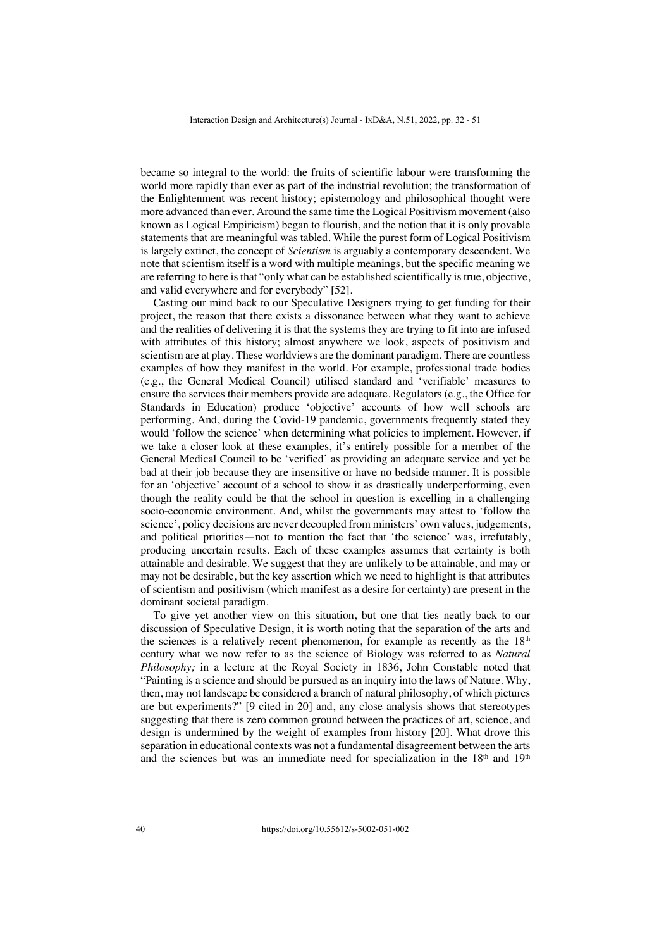became so integral to the world: the fruits of scientific labour were transforming the world more rapidly than ever as part of the industrial revolution; the transformation of the Enlightenment was recent history; epistemology and philosophical thought were more advanced than ever. Around the same time the Logical Positivism movement (also known as Logical Empiricism) began to flourish, and the notion that it is only provable statements that are meaningful was tabled. While the purest form of Logical Positivism is largely extinct, the concept of *Scientism* is arguably a contemporary descendent. We note that scientism itself is a word with multiple meanings, but the specific meaning we are referring to here is that "only what can be established scientifically is true, objective, and valid everywhere and for everybody" [52].

Casting our mind back to our Speculative Designers trying to get funding for their project, the reason that there exists a dissonance between what they want to achieve and the realities of delivering it is that the systems they are trying to fit into are infused with attributes of this history; almost anywhere we look, aspects of positivism and scientism are at play. These worldviews are the dominant paradigm. There are countless examples of how they manifest in the world. For example, professional trade bodies (e.g., the General Medical Council) utilised standard and 'verifiable' measures to ensure the services their members provide are adequate. Regulators (e.g., the Office for Standards in Education) produce 'objective' accounts of how well schools are performing. And, during the Covid-19 pandemic, governments frequently stated they would 'follow the science' when determining what policies to implement. However, if we take a closer look at these examples, it's entirely possible for a member of the General Medical Council to be 'verified' as providing an adequate service and yet be bad at their job because they are insensitive or have no bedside manner. It is possible for an 'objective' account of a school to show it as drastically underperforming, even though the reality could be that the school in question is excelling in a challenging socio-economic environment. And, whilst the governments may attest to 'follow the science', policy decisions are never decoupled from ministers' own values, judgements, and political priorities—not to mention the fact that 'the science' was, irrefutably, producing uncertain results. Each of these examples assumes that certainty is both attainable and desirable. We suggest that they are unlikely to be attainable, and may or may not be desirable, but the key assertion which we need to highlight is that attributes of scientism and positivism (which manifest as a desire for certainty) are present in the dominant societal paradigm.

To give yet another view on this situation, but one that ties neatly back to our discussion of Speculative Design, it is worth noting that the separation of the arts and the sciences is a relatively recent phenomenon, for example as recently as the 18<sup>th</sup> century what we now refer to as the science of Biology was referred to as *Natural Philosophy;* in a lecture at the Royal Society in 1836, John Constable noted that "Painting is a science and should be pursued as an inquiry into the laws of Nature. Why, then, may not landscape be considered a branch of natural philosophy, of which pictures are but experiments?" [9 cited in 20] and, any close analysis shows that stereotypes suggesting that there is zero common ground between the practices of art, science, and design is undermined by the weight of examples from history [20]. What drove this separation in educational contexts was not a fundamental disagreement between the arts and the sciences but was an immediate need for specialization in the  $18<sup>th</sup>$  and  $19<sup>th</sup>$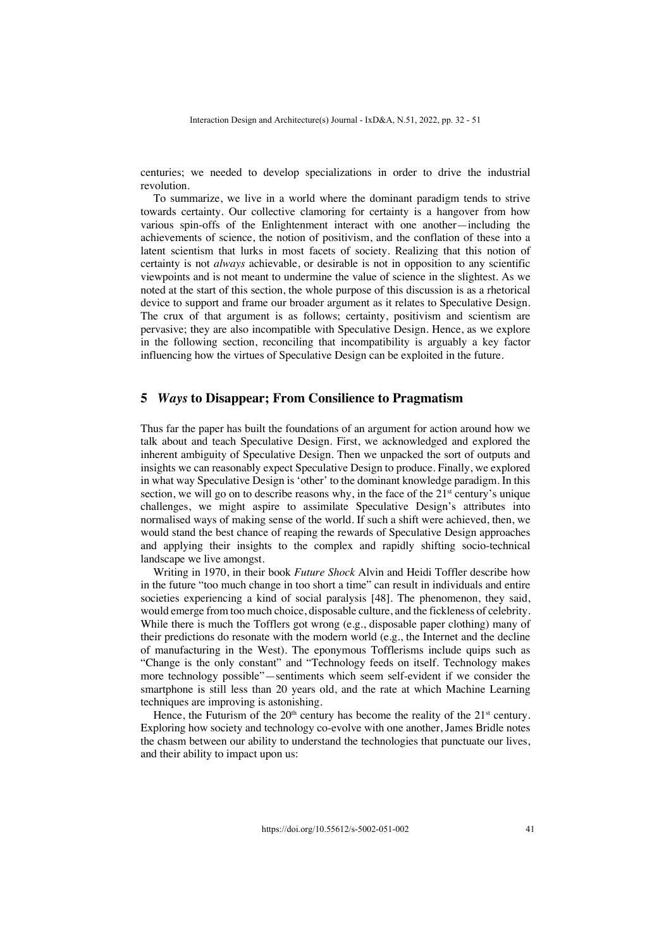centuries; we needed to develop specializations in order to drive the industrial revolution.

To summarize, we live in a world where the dominant paradigm tends to strive towards certainty. Our collective clamoring for certainty is a hangover from how various spin-offs of the Enlightenment interact with one another—including the achievements of science, the notion of positivism, and the conflation of these into a latent scientism that lurks in most facets of society. Realizing that this notion of certainty is not *always* achievable, or desirable is not in opposition to any scientific viewpoints and is not meant to undermine the value of science in the slightest. As we noted at the start of this section, the whole purpose of this discussion is as a rhetorical device to support and frame our broader argument as it relates to Speculative Design. The crux of that argument is as follows; certainty, positivism and scientism are pervasive; they are also incompatible with Speculative Design. Hence, as we explore in the following section, reconciling that incompatibility is arguably a key factor influencing how the virtues of Speculative Design can be exploited in the future.

#### **5** *Ways* **to Disappear; From Consilience to Pragmatism**

Thus far the paper has built the foundations of an argument for action around how we talk about and teach Speculative Design. First, we acknowledged and explored the inherent ambiguity of Speculative Design. Then we unpacked the sort of outputs and insights we can reasonably expect Speculative Design to produce. Finally, we explored in what way Speculative Design is 'other' to the dominant knowledge paradigm. In this section, we will go on to describe reasons why, in the face of the  $21<sup>st</sup>$  century's unique challenges, we might aspire to assimilate Speculative Design's attributes into normalised ways of making sense of the world. If such a shift were achieved, then, we would stand the best chance of reaping the rewards of Speculative Design approaches and applying their insights to the complex and rapidly shifting socio-technical landscape we live amongst.

Writing in 1970, in their book *Future Shock* Alvin and Heidi Toffler describe how in the future "too much change in too short a time" can result in individuals and entire societies experiencing a kind of social paralysis [48]. The phenomenon, they said, would emerge from too much choice, disposable culture, and the fickleness of celebrity. While there is much the Tofflers got wrong (e.g., disposable paper clothing) many of their predictions do resonate with the modern world (e.g., the Internet and the decline of manufacturing in the West). The eponymous Tofflerisms include quips such as "Change is the only constant" and "Technology feeds on itself. Technology makes more technology possible"—sentiments which seem self-evident if we consider the smartphone is still less than 20 years old, and the rate at which Machine Learning techniques are improving is astonishing.

Hence, the Futurism of the  $20<sup>th</sup>$  century has become the reality of the  $21<sup>st</sup>$  century. Exploring how society and technology co-evolve with one another, James Bridle notes the chasm between our ability to understand the technologies that punctuate our lives, and their ability to impact upon us: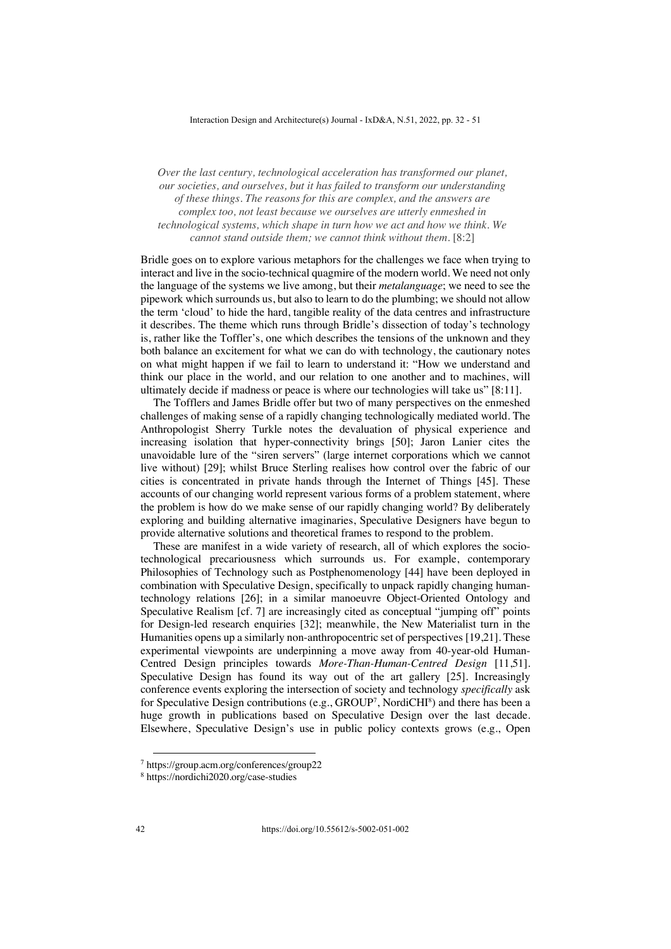*Over the last century, technological acceleration has transformed our planet, our societies, and ourselves, but it has failed to transform our understanding of these things. The reasons for this are complex, and the answers are complex too, not least because we ourselves are utterly enmeshed in technological systems, which shape in turn how we act and how we think. We cannot stand outside them; we cannot think without them.* [8:2]

Bridle goes on to explore various metaphors for the challenges we face when trying to interact and live in the socio-technical quagmire of the modern world. We need not only the language of the systems we live among, but their *metalanguage*; we need to see the pipework which surrounds us, but also to learn to do the plumbing; we should not allow the term 'cloud' to hide the hard, tangible reality of the data centres and infrastructure it describes. The theme which runs through Bridle's dissection of today's technology is, rather like the Toffler's, one which describes the tensions of the unknown and they both balance an excitement for what we can do with technology, the cautionary notes on what might happen if we fail to learn to understand it: "How we understand and think our place in the world, and our relation to one another and to machines, will ultimately decide if madness or peace is where our technologies will take us" [8:11].

The Tofflers and James Bridle offer but two of many perspectives on the enmeshed challenges of making sense of a rapidly changing technologically mediated world. The Anthropologist Sherry Turkle notes the devaluation of physical experience and increasing isolation that hyper-connectivity brings [50]; Jaron Lanier cites the unavoidable lure of the "siren servers" (large internet corporations which we cannot live without) [29]; whilst Bruce Sterling realises how control over the fabric of our cities is concentrated in private hands through the Internet of Things [45]. These accounts of our changing world represent various forms of a problem statement, where the problem is how do we make sense of our rapidly changing world? By deliberately exploring and building alternative imaginaries, Speculative Designers have begun to provide alternative solutions and theoretical frames to respond to the problem.

These are manifest in a wide variety of research, all of which explores the sociotechnological precariousness which surrounds us. For example, contemporary Philosophies of Technology such as Postphenomenology [44] have been deployed in combination with Speculative Design, specifically to unpack rapidly changing humantechnology relations [26]; in a similar manoeuvre Object-Oriented Ontology and Speculative Realism [cf. 7] are increasingly cited as conceptual "jumping off" points for Design-led research enquiries [32]; meanwhile, the New Materialist turn in the Humanities opens up a similarly non-anthropocentric set of perspectives [19,21]. These experimental viewpoints are underpinning a move away from 40-year-old Human-Centred Design principles towards *More-Than-Human-Centred Design* [11,51]. Speculative Design has found its way out of the art gallery [25]. Increasingly conference events exploring the intersection of society and technology *specifically* ask for Speculative Design contributions (e.g., GROUP<sup>7</sup>, NordiCHI<sup>8</sup>) and there has been a huge growth in publications based on Speculative Design over the last decade. Elsewhere, Speculative Design's use in public policy contexts grows (e.g., Open

<sup>7</sup> https://group.acm.org/conferences/group22

<sup>8</sup> https://nordichi2020.org/case-studies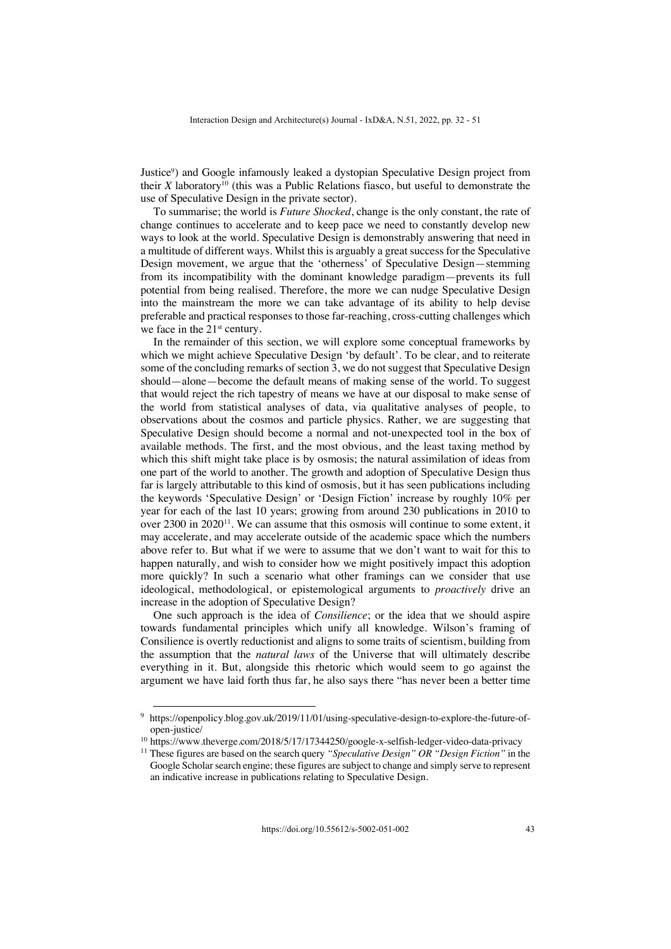Justice9) and Google infamously leaked a dystopian Speculative Design project from their *X* laboratory<sup>10</sup> (this was a Public Relations fiasco, but useful to demonstrate the use of Speculative Design in the private sector).

To summarise; the world is *Future Shocked*, change is the only constant, the rate of change continues to accelerate and to keep pace we need to constantly develop new ways to look at the world. Speculative Design is demonstrably answering that need in a multitude of different ways. Whilst this is arguably a great success for the Speculative Design movement, we argue that the 'otherness' of Speculative Design—stemming from its incompatibility with the dominant knowledge paradigm—prevents its full potential from being realised. Therefore, the more we can nudge Speculative Design into the mainstream the more we can take advantage of its ability to help devise preferable and practical responses to those far-reaching, cross-cutting challenges which we face in the 21<sup>st</sup> century.

In the remainder of this section, we will explore some conceptual frameworks by which we might achieve Speculative Design 'by default'. To be clear, and to reiterate some of the concluding remarks of section 3, we do not suggest that Speculative Design should—alone—become the default means of making sense of the world. To suggest that would reject the rich tapestry of means we have at our disposal to make sense of the world from statistical analyses of data, via qualitative analyses of people, to observations about the cosmos and particle physics. Rather, we are suggesting that Speculative Design should become a normal and not-unexpected tool in the box of available methods. The first, and the most obvious, and the least taxing method by which this shift might take place is by osmosis; the natural assimilation of ideas from one part of the world to another. The growth and adoption of Speculative Design thus far is largely attributable to this kind of osmosis, but it has seen publications including the keywords 'Speculative Design' or 'Design Fiction' increase by roughly 10% per year for each of the last 10 years; growing from around 230 publications in 2010 to over 2300 in 2020<sup>11</sup>. We can assume that this osmosis will continue to some extent, it may accelerate, and may accelerate outside of the academic space which the numbers above refer to. But what if we were to assume that we don't want to wait for this to happen naturally, and wish to consider how we might positively impact this adoption more quickly? In such a scenario what other framings can we consider that use ideological, methodological, or epistemological arguments to *proactively* drive an increase in the adoption of Speculative Design?

One such approach is the idea of *Consilience*; or the idea that we should aspire towards fundamental principles which unify all knowledge. Wilson's framing of Consilience is overtly reductionist and aligns to some traits of scientism, building from the assumption that the *natural laws* of the Universe that will ultimately describe everything in it. But, alongside this rhetoric which would seem to go against the argument we have laid forth thus far, he also says there "has never been a better time

<sup>&</sup>lt;sup>9</sup> https://openpolicy.blog.gov.uk/2019/11/01/using-speculative-design-to-explore-the-future-ofopen-justice/

<sup>&</sup>lt;sup>10</sup> https://www.theverge.com/2018/5/17/17344250/google-x-selfish-ledger-video-data-privacy

<sup>11</sup> These figures are based on the search query *"Speculative Design" OR "Design Fiction"* in the Google Scholar search engine; these figures are subject to change and simply serve to represent an indicative increase in publications relating to Speculative Design.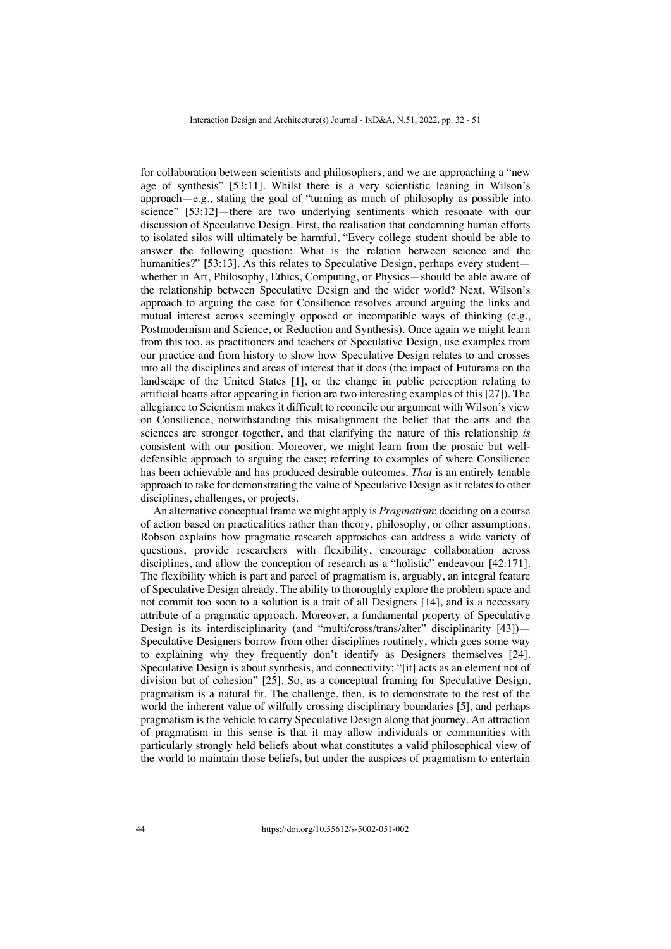for collaboration between scientists and philosophers, and we are approaching a "new age of synthesis" [53:11]. Whilst there is a very scientistic leaning in Wilson's approach—e.g., stating the goal of "turning as much of philosophy as possible into science" [53:12]—there are two underlying sentiments which resonate with our discussion of Speculative Design. First, the realisation that condemning human efforts to isolated silos will ultimately be harmful, "Every college student should be able to answer the following question: What is the relation between science and the humanities?" [53:13]. As this relates to Speculative Design, perhaps every student whether in Art, Philosophy, Ethics, Computing, or Physics—should be able aware of the relationship between Speculative Design and the wider world? Next, Wilson's approach to arguing the case for Consilience resolves around arguing the links and mutual interest across seemingly opposed or incompatible ways of thinking (e.g., Postmodernism and Science, or Reduction and Synthesis). Once again we might learn from this too, as practitioners and teachers of Speculative Design, use examples from our practice and from history to show how Speculative Design relates to and crosses into all the disciplines and areas of interest that it does (the impact of Futurama on the landscape of the United States [1], or the change in public perception relating to artificial hearts after appearing in fiction are two interesting examples of this [27]). The allegiance to Scientism makes it difficult to reconcile our argument with Wilson's view on Consilience, notwithstanding this misalignment the belief that the arts and the sciences are stronger together, and that clarifying the nature of this relationship *is* consistent with our position. Moreover, we might learn from the prosaic but welldefensible approach to arguing the case; referring to examples of where Consilience has been achievable and has produced desirable outcomes. *That* is an entirely tenable approach to take for demonstrating the value of Speculative Design as it relates to other disciplines, challenges, or projects.

An alternative conceptual frame we might apply is *Pragmatism*; deciding on a course of action based on practicalities rather than theory, philosophy, or other assumptions. Robson explains how pragmatic research approaches can address a wide variety of questions, provide researchers with flexibility, encourage collaboration across disciplines, and allow the conception of research as a "holistic" endeavour [42:171]. The flexibility which is part and parcel of pragmatism is, arguably, an integral feature of Speculative Design already. The ability to thoroughly explore the problem space and not commit too soon to a solution is a trait of all Designers [14], and is a necessary attribute of a pragmatic approach. Moreover, a fundamental property of Speculative Design is its interdisciplinarity (and "multi/cross/trans/alter" disciplinarity [43])-Speculative Designers borrow from other disciplines routinely, which goes some way to explaining why they frequently don't identify as Designers themselves [24]. Speculative Design is about synthesis, and connectivity; "[it] acts as an element not of division but of cohesion" [25]. So, as a conceptual framing for Speculative Design, pragmatism is a natural fit. The challenge, then, is to demonstrate to the rest of the world the inherent value of wilfully crossing disciplinary boundaries [5], and perhaps pragmatism is the vehicle to carry Speculative Design along that journey. An attraction of pragmatism in this sense is that it may allow individuals or communities with particularly strongly held beliefs about what constitutes a valid philosophical view of the world to maintain those beliefs, but under the auspices of pragmatism to entertain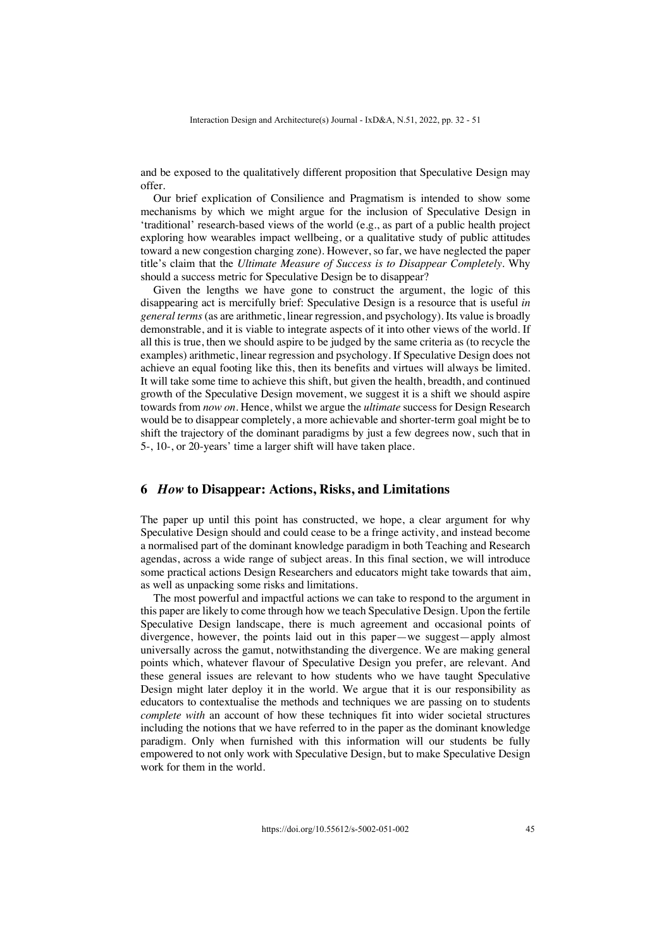and be exposed to the qualitatively different proposition that Speculative Design may offer.

Our brief explication of Consilience and Pragmatism is intended to show some mechanisms by which we might argue for the inclusion of Speculative Design in 'traditional' research-based views of the world (e.g., as part of a public health project exploring how wearables impact wellbeing, or a qualitative study of public attitudes toward a new congestion charging zone). However, so far, we have neglected the paper title's claim that the *Ultimate Measure of Success is to Disappear Completely*. Why should a success metric for Speculative Design be to disappear?

Given the lengths we have gone to construct the argument, the logic of this disappearing act is mercifully brief: Speculative Design is a resource that is useful *in general terms* (as are arithmetic, linear regression, and psychology). Its value is broadly demonstrable, and it is viable to integrate aspects of it into other views of the world. If all this is true, then we should aspire to be judged by the same criteria as (to recycle the examples) arithmetic, linear regression and psychology. If Speculative Design does not achieve an equal footing like this, then its benefits and virtues will always be limited. It will take some time to achieve this shift, but given the health, breadth, and continued growth of the Speculative Design movement, we suggest it is a shift we should aspire towards from *now on*. Hence, whilst we argue the *ultimate* success for Design Research would be to disappear completely, a more achievable and shorter-term goal might be to shift the trajectory of the dominant paradigms by just a few degrees now, such that in 5-, 10-, or 20-years' time a larger shift will have taken place.

#### **6** *How* **to Disappear: Actions, Risks, and Limitations**

The paper up until this point has constructed, we hope, a clear argument for why Speculative Design should and could cease to be a fringe activity, and instead become a normalised part of the dominant knowledge paradigm in both Teaching and Research agendas, across a wide range of subject areas. In this final section, we will introduce some practical actions Design Researchers and educators might take towards that aim, as well as unpacking some risks and limitations.

The most powerful and impactful actions we can take to respond to the argument in this paper are likely to come through how we teach Speculative Design. Upon the fertile Speculative Design landscape, there is much agreement and occasional points of divergence, however, the points laid out in this paper—we suggest—apply almost universally across the gamut, notwithstanding the divergence. We are making general points which, whatever flavour of Speculative Design you prefer, are relevant. And these general issues are relevant to how students who we have taught Speculative Design might later deploy it in the world. We argue that it is our responsibility as educators to contextualise the methods and techniques we are passing on to students *complete with* an account of how these techniques fit into wider societal structures including the notions that we have referred to in the paper as the dominant knowledge paradigm. Only when furnished with this information will our students be fully empowered to not only work with Speculative Design, but to make Speculative Design work for them in the world.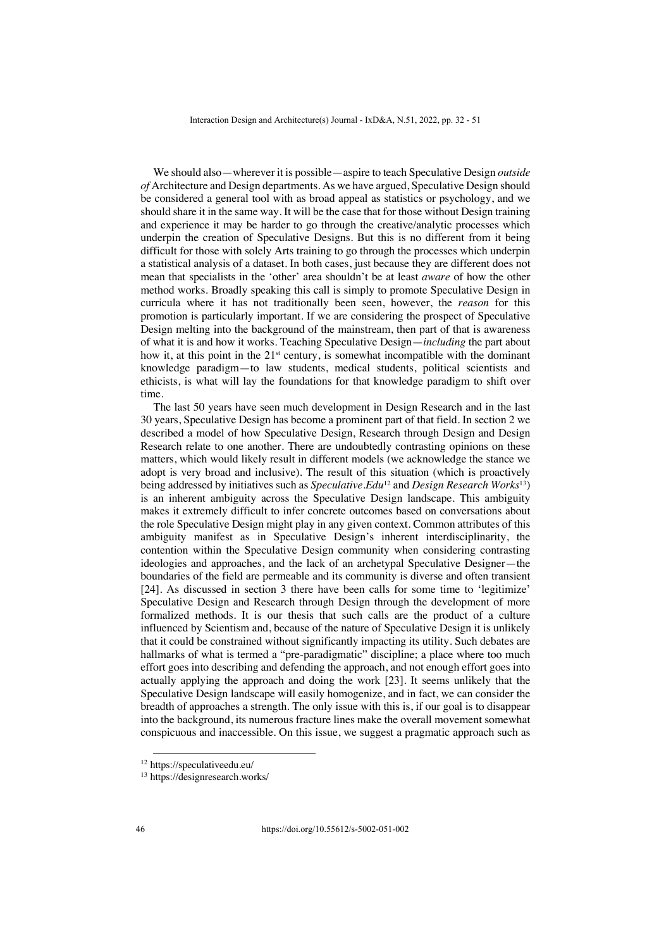We should also—wherever it is possible—aspire to teach Speculative Design *outside of* Architecture and Design departments. As we have argued, Speculative Design should be considered a general tool with as broad appeal as statistics or psychology, and we should share it in the same way. It will be the case that for those without Design training and experience it may be harder to go through the creative/analytic processes which underpin the creation of Speculative Designs. But this is no different from it being difficult for those with solely Arts training to go through the processes which underpin a statistical analysis of a dataset. In both cases, just because they are different does not mean that specialists in the 'other' area shouldn't be at least *aware* of how the other method works. Broadly speaking this call is simply to promote Speculative Design in curricula where it has not traditionally been seen, however, the *reason* for this promotion is particularly important. If we are considering the prospect of Speculative Design melting into the background of the mainstream, then part of that is awareness of what it is and how it works. Teaching Speculative Design—*including* the part about how it, at this point in the  $21<sup>st</sup>$  century, is somewhat incompatible with the dominant knowledge paradigm—to law students, medical students, political scientists and ethicists, is what will lay the foundations for that knowledge paradigm to shift over time.

The last 50 years have seen much development in Design Research and in the last 30 years, Speculative Design has become a prominent part of that field. In section 2 we described a model of how Speculative Design, Research through Design and Design Research relate to one another. There are undoubtedly contrasting opinions on these matters, which would likely result in different models (we acknowledge the stance we adopt is very broad and inclusive). The result of this situation (which is proactively being addressed by initiatives such as *Speculative.Edu*<sup>12</sup> and *Design Research Works*13) is an inherent ambiguity across the Speculative Design landscape. This ambiguity makes it extremely difficult to infer concrete outcomes based on conversations about the role Speculative Design might play in any given context. Common attributes of this ambiguity manifest as in Speculative Design's inherent interdisciplinarity, the contention within the Speculative Design community when considering contrasting ideologies and approaches, and the lack of an archetypal Speculative Designer—the boundaries of the field are permeable and its community is diverse and often transient [24]. As discussed in section 3 there have been calls for some time to 'legitimize' Speculative Design and Research through Design through the development of more formalized methods. It is our thesis that such calls are the product of a culture influenced by Scientism and, because of the nature of Speculative Design it is unlikely that it could be constrained without significantly impacting its utility. Such debates are hallmarks of what is termed a "pre-paradigmatic" discipline; a place where too much effort goes into describing and defending the approach, and not enough effort goes into actually applying the approach and doing the work [23]. It seems unlikely that the Speculative Design landscape will easily homogenize, and in fact, we can consider the breadth of approaches a strength. The only issue with this is, if our goal is to disappear into the background, its numerous fracture lines make the overall movement somewhat conspicuous and inaccessible. On this issue, we suggest a pragmatic approach such as

<sup>12</sup> https://speculativeedu.eu/

<sup>13</sup> https://designresearch.works/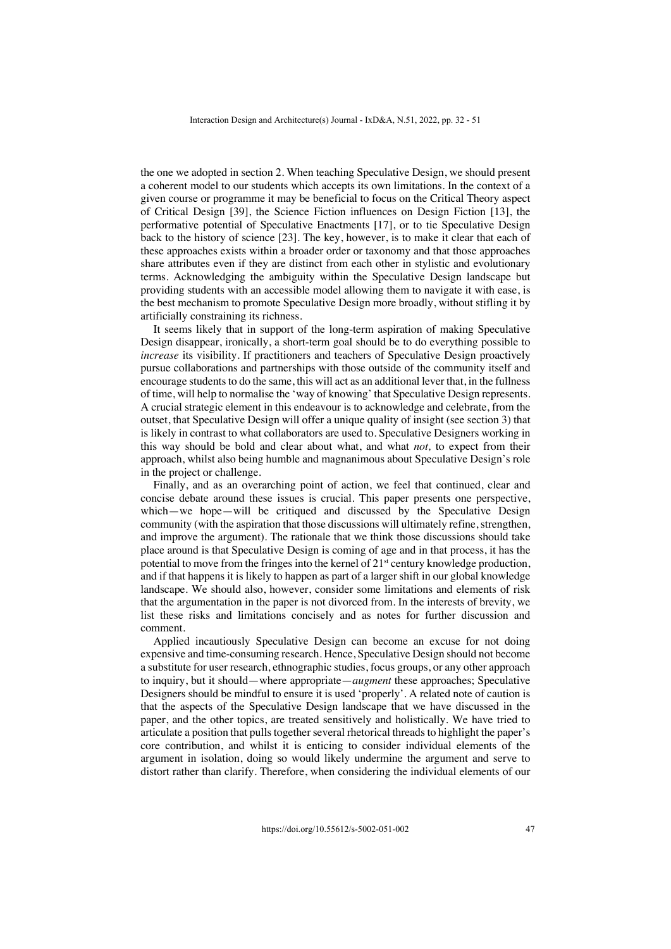the one we adopted in section 2. When teaching Speculative Design, we should present a coherent model to our students which accepts its own limitations. In the context of a given course or programme it may be beneficial to focus on the Critical Theory aspect of Critical Design [39], the Science Fiction influences on Design Fiction [13], the performative potential of Speculative Enactments [17], or to tie Speculative Design back to the history of science [23]. The key, however, is to make it clear that each of these approaches exists within a broader order or taxonomy and that those approaches share attributes even if they are distinct from each other in stylistic and evolutionary terms. Acknowledging the ambiguity within the Speculative Design landscape but providing students with an accessible model allowing them to navigate it with ease, is the best mechanism to promote Speculative Design more broadly, without stifling it by artificially constraining its richness.

It seems likely that in support of the long-term aspiration of making Speculative Design disappear, ironically, a short-term goal should be to do everything possible to *increase* its visibility. If practitioners and teachers of Speculative Design proactively pursue collaborations and partnerships with those outside of the community itself and encourage students to do the same, this will act as an additional lever that, in the fullness of time, will help to normalise the 'way of knowing' that Speculative Design represents. A crucial strategic element in this endeavour is to acknowledge and celebrate, from the outset, that Speculative Design will offer a unique quality of insight (see section 3) that is likely in contrast to what collaborators are used to. Speculative Designers working in this way should be bold and clear about what, and what *not,* to expect from their approach, whilst also being humble and magnanimous about Speculative Design's role in the project or challenge.

Finally, and as an overarching point of action, we feel that continued, clear and concise debate around these issues is crucial. This paper presents one perspective, which—we hope—will be critiqued and discussed by the Speculative Design community (with the aspiration that those discussions will ultimately refine, strengthen, and improve the argument). The rationale that we think those discussions should take place around is that Speculative Design is coming of age and in that process, it has the potential to move from the fringes into the kernel of  $21<sup>st</sup>$  century knowledge production, and if that happens it is likely to happen as part of a larger shift in our global knowledge landscape. We should also, however, consider some limitations and elements of risk that the argumentation in the paper is not divorced from. In the interests of brevity, we list these risks and limitations concisely and as notes for further discussion and comment.

Applied incautiously Speculative Design can become an excuse for not doing expensive and time-consuming research. Hence, Speculative Design should not become a substitute for user research, ethnographic studies, focus groups, or any other approach to inquiry, but it should—where appropriate—*augment* these approaches; Speculative Designers should be mindful to ensure it is used 'properly'. A related note of caution is that the aspects of the Speculative Design landscape that we have discussed in the paper, and the other topics, are treated sensitively and holistically. We have tried to articulate a position that pulls together several rhetorical threads to highlight the paper's core contribution, and whilst it is enticing to consider individual elements of the argument in isolation, doing so would likely undermine the argument and serve to distort rather than clarify. Therefore, when considering the individual elements of our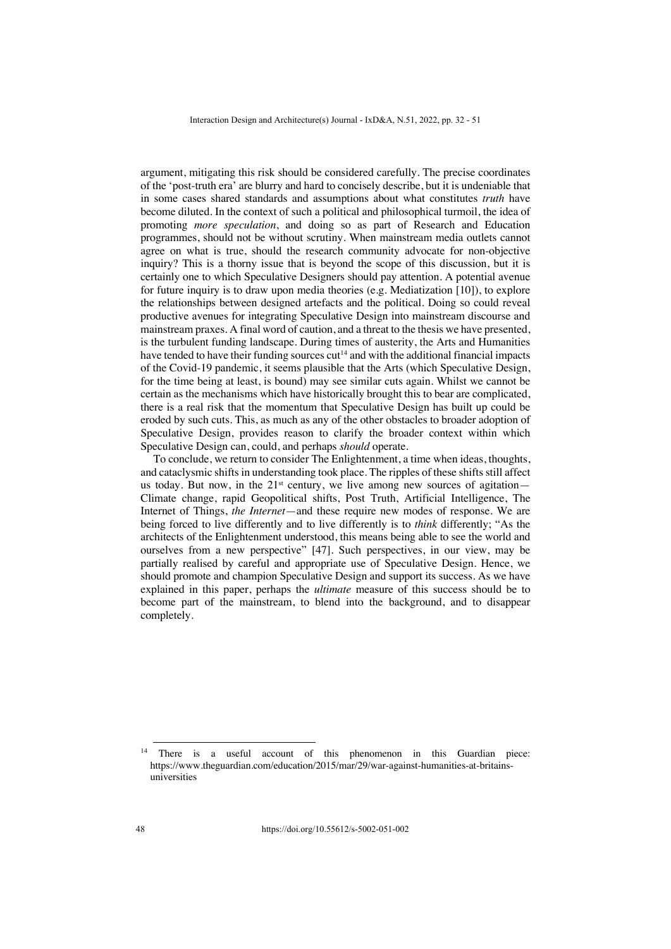argument, mitigating this risk should be considered carefully. The precise coordinates of the 'post-truth era' are blurry and hard to concisely describe, but it is undeniable that in some cases shared standards and assumptions about what constitutes *truth* have become diluted. In the context of such a political and philosophical turmoil, the idea of promoting *more speculation*, and doing so as part of Research and Education programmes, should not be without scrutiny. When mainstream media outlets cannot agree on what is true, should the research community advocate for non-objective inquiry? This is a thorny issue that is beyond the scope of this discussion, but it is certainly one to which Speculative Designers should pay attention. A potential avenue for future inquiry is to draw upon media theories (e.g. Mediatization [10]), to explore the relationships between designed artefacts and the political. Doing so could reveal productive avenues for integrating Speculative Design into mainstream discourse and mainstream praxes. A final word of caution, and a threat to the thesis we have presented, is the turbulent funding landscape. During times of austerity, the Arts and Humanities have tended to have their funding sources  $cut<sup>14</sup>$  and with the additional financial impacts of the Covid-19 pandemic, it seems plausible that the Arts (which Speculative Design, for the time being at least, is bound) may see similar cuts again. Whilst we cannot be certain as the mechanisms which have historically brought this to bear are complicated, there is a real risk that the momentum that Speculative Design has built up could be eroded by such cuts. This, as much as any of the other obstacles to broader adoption of Speculative Design, provides reason to clarify the broader context within which Speculative Design can, could, and perhaps *should* operate.

To conclude, we return to consider The Enlightenment, a time when ideas, thoughts, and cataclysmic shifts in understanding took place. The ripples of these shifts still affect us today. But now, in the  $21^{st}$  century, we live among new sources of agitation— Climate change, rapid Geopolitical shifts, Post Truth, Artificial Intelligence, The Internet of Things, *the Internet*—and these require new modes of response. We are being forced to live differently and to live differently is to *think* differently; "As the architects of the Enlightenment understood, this means being able to see the world and ourselves from a new perspective" [47]. Such perspectives, in our view, may be partially realised by careful and appropriate use of Speculative Design. Hence, we should promote and champion Speculative Design and support its success. As we have explained in this paper, perhaps the *ultimate* measure of this success should be to become part of the mainstream, to blend into the background, and to disappear completely.

<sup>&</sup>lt;sup>14</sup> There is a useful account of this phenomenon in this Guardian piece: https://www.theguardian.com/education/2015/mar/29/war-against-humanities-at-britainsuniversities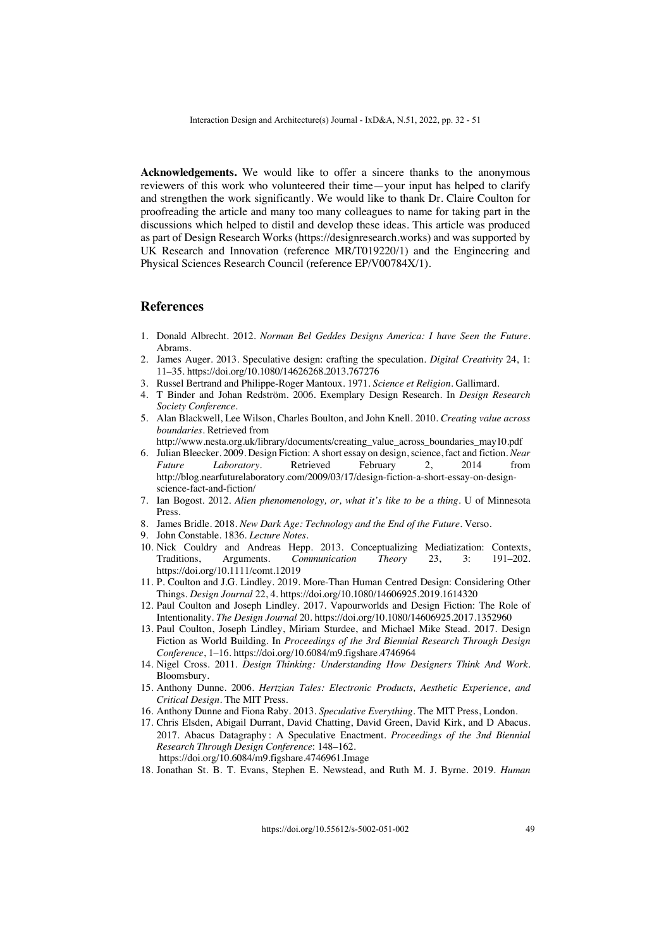**Acknowledgements.** We would like to offer a sincere thanks to the anonymous reviewers of this work who volunteered their time—your input has helped to clarify and strengthen the work significantly. We would like to thank Dr. Claire Coulton for proofreading the article and many too many colleagues to name for taking part in the discussions which helped to distil and develop these ideas. This article was produced as part of Design Research Works (https://designresearch.works) and was supported by UK Research and Innovation (reference MR/T019220/1) and the Engineering and Physical Sciences Research Council (reference EP/V00784X/1).

## **References**

- 1. Donald Albrecht. 2012. *Norman Bel Geddes Designs America: I have Seen the Future*. Abrams.
- 2. James Auger. 2013. Speculative design: crafting the speculation. *Digital Creativity* 24, 1: 11–35. https://doi.org/10.1080/14626268.2013.767276
- 3. Russel Bertrand and Philippe-Roger Mantoux. 1971. *Science et Religion*. Gallimard.
- 4. T Binder and Johan Redström. 2006. Exemplary Design Research. In *Design Research Society Conference*.
- 5. Alan Blackwell, Lee Wilson, Charles Boulton, and John Knell. 2010. *Creating value across boundaries*. Retrieved from
- http://www.nesta.org.uk/library/documents/creating\_value\_across\_boundaries\_may10.pdf 6. Julian Bleecker. 2009. Design Fiction: A short essay on design, science, fact and fiction. *Near Future Laboratory*. Retrieved February 2, 2014 from http://blog.nearfuturelaboratory.com/2009/03/17/design-fiction-a-short-essay-on-designscience-fact-and-fiction/
- 7. Ian Bogost. 2012. *Alien phenomenology, or, what it's like to be a thing*. U of Minnesota Press.
- 8. James Bridle. 2018. *New Dark Age: Technology and the End of the Future*. Verso.
- 9. John Constable. 1836. *Lecture Notes*.
- 10. Nick Couldry and Andreas Hepp. 2013. Conceptualizing Mediatization: Contexts, Traditions, Arguments. Communication Theory 23, 3: 191–202. Traditions, Arguments. *Communication Theory* 23, https://doi.org/10.1111/comt.12019
- 11. P. Coulton and J.G. Lindley. 2019. More-Than Human Centred Design: Considering Other Things. *Design Journal* 22, 4. https://doi.org/10.1080/14606925.2019.1614320
- 12. Paul Coulton and Joseph Lindley. 2017. Vapourworlds and Design Fiction: The Role of Intentionality. *The Design Journal* 20. https://doi.org/10.1080/14606925.2017.1352960
- 13. Paul Coulton, Joseph Lindley, Miriam Sturdee, and Michael Mike Stead. 2017. Design Fiction as World Building. In *Proceedings of the 3rd Biennial Research Through Design Conference*, 1–16. https://doi.org/10.6084/m9.figshare.4746964
- 14. Nigel Cross. 2011. *Design Thinking: Understanding How Designers Think And Work*. Bloomsbury.
- 15. Anthony Dunne. 2006. *Hertzian Tales: Electronic Products, Aesthetic Experience, and Critical Design*. The MIT Press.
- 16. Anthony Dunne and Fiona Raby. 2013. *Speculative Everything*. The MIT Press, London.
- 17. Chris Elsden, Abigail Durrant, David Chatting, David Green, David Kirk, and D Abacus. 2017. Abacus Datagraphy : A Speculative Enactment. *Proceedings of the 3nd Biennial Research Through Design Conference*: 148–162. https://doi.org/10.6084/m9.figshare.4746961.Image
- 18. Jonathan St. B. T. Evans, Stephen E. Newstead, and Ruth M. J. Byrne. 2019. *Human*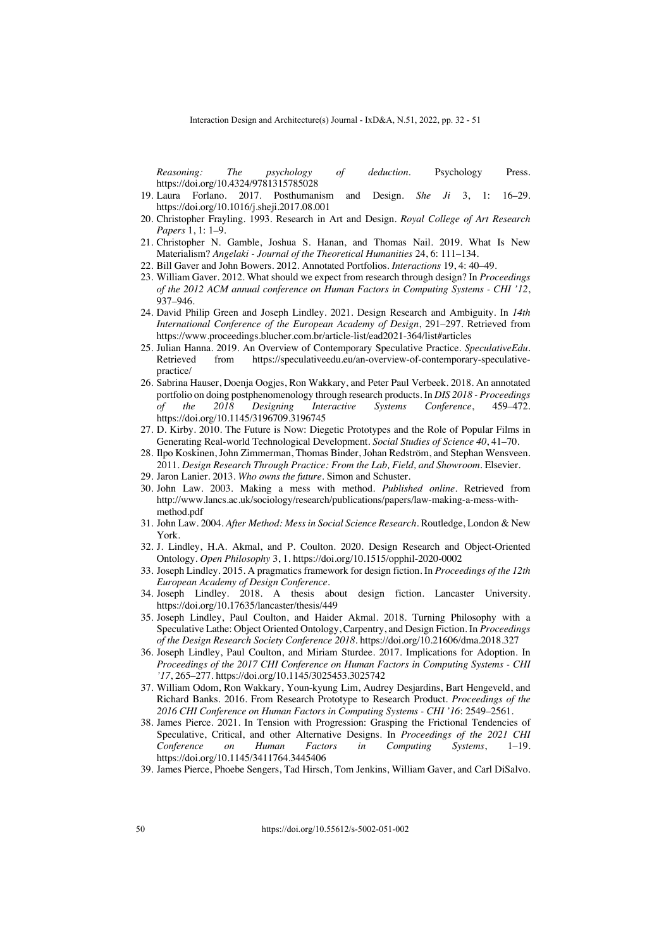*Reasoning: The psychology of deduction*. Psychology Press. https://doi.org/10.4324/9781315785028

- 19. Laura Forlano. 2017. Posthumanism and Design. *She Ji* 3, 1: 16–29. https://doi.org/10.1016/j.sheji.2017.08.001
- 20. Christopher Frayling. 1993. Research in Art and Design. *Royal College of Art Research Papers* 1, 1: 1–9.
- 21. Christopher N. Gamble, Joshua S. Hanan, and Thomas Nail. 2019. What Is New Materialism? *Angelaki - Journal of the Theoretical Humanities* 24, 6: 111–134.
- 22. Bill Gaver and John Bowers. 2012. Annotated Portfolios. *Interactions* 19, 4: 40–49.
- 23. William Gaver. 2012. What should we expect from research through design? In *Proceedings of the 2012 ACM annual conference on Human Factors in Computing Systems - CHI '12*, 937–946.
- 24. David Philip Green and Joseph Lindley. 2021. Design Research and Ambiguity. In *14th International Conference of the European Academy of Design*, 291–297. Retrieved from https://www.proceedings.blucher.com.br/article-list/ead2021-364/list#articles
- 25. Julian Hanna. 2019. An Overview of Contemporary Speculative Practice. *SpeculativeEdu*. Retrieved from https://speculativeedu.eu/an-overview-of-contemporary-speculativepractice/
- 26. Sabrina Hauser, Doenja Oogjes, Ron Wakkary, and Peter Paul Verbeek. 2018. An annotated portfolio on doing postphenomenology through research products. In *DIS 2018 - Proceedings of the 2018 Designing Interactive Systems Conference*, 459–472. https://doi.org/10.1145/3196709.3196745
- 27. D. Kirby. 2010. The Future is Now: Diegetic Prototypes and the Role of Popular Films in Generating Real-world Technological Development. *Social Studies of Science 40*, 41–70.
- 28. Ilpo Koskinen, John Zimmerman, Thomas Binder, Johan Redström, and Stephan Wensveen. 2011. *Design Research Through Practice: From the Lab, Field, and Showroom*. Elsevier.
- 29. Jaron Lanier. 2013. *Who owns the future*. Simon and Schuster.
- 30. John Law. 2003. Making a mess with method. *Published online*. Retrieved from http://www.lancs.ac.uk/sociology/research/publications/papers/law-making-a-mess-withmethod.pdf
- 31. John Law. 2004. *After Method: Mess in Social Science Research*. Routledge, London & New York.
- 32. J. Lindley, H.A. Akmal, and P. Coulton. 2020. Design Research and Object-Oriented Ontology. *Open Philosophy* 3, 1. https://doi.org/10.1515/opphil-2020-0002
- 33. Joseph Lindley. 2015. A pragmatics framework for design fiction. In *Proceedings of the 12th European Academy of Design Conference*.
- 34. Joseph Lindley. 2018. A thesis about design fiction. Lancaster University. https://doi.org/10.17635/lancaster/thesis/449
- 35. Joseph Lindley, Paul Coulton, and Haider Akmal. 2018. Turning Philosophy with a Speculative Lathe: Object Oriented Ontology, Carpentry, and Design Fiction. In *Proceedings of the Design Research Society Conference 2018*. https://doi.org/10.21606/dma.2018.327
- 36. Joseph Lindley, Paul Coulton, and Miriam Sturdee. 2017. Implications for Adoption. In *Proceedings of the 2017 CHI Conference on Human Factors in Computing Systems - CHI '17*, 265–277. https://doi.org/10.1145/3025453.3025742
- 37. William Odom, Ron Wakkary, Youn-kyung Lim, Audrey Desjardins, Bart Hengeveld, and Richard Banks. 2016. From Research Prototype to Research Product. *Proceedings of the 2016 CHI Conference on Human Factors in Computing Systems - CHI '16*: 2549–2561.
- 38. James Pierce. 2021. In Tension with Progression: Grasping the Frictional Tendencies of Speculative, Critical, and other Alternative Designs. In *Proceedings of the 2021 CHI Conference on Human Factors in Computing Systems*, 1–19. https://doi.org/10.1145/3411764.3445406
- 39. James Pierce, Phoebe Sengers, Tad Hirsch, Tom Jenkins, William Gaver, and Carl DiSalvo.